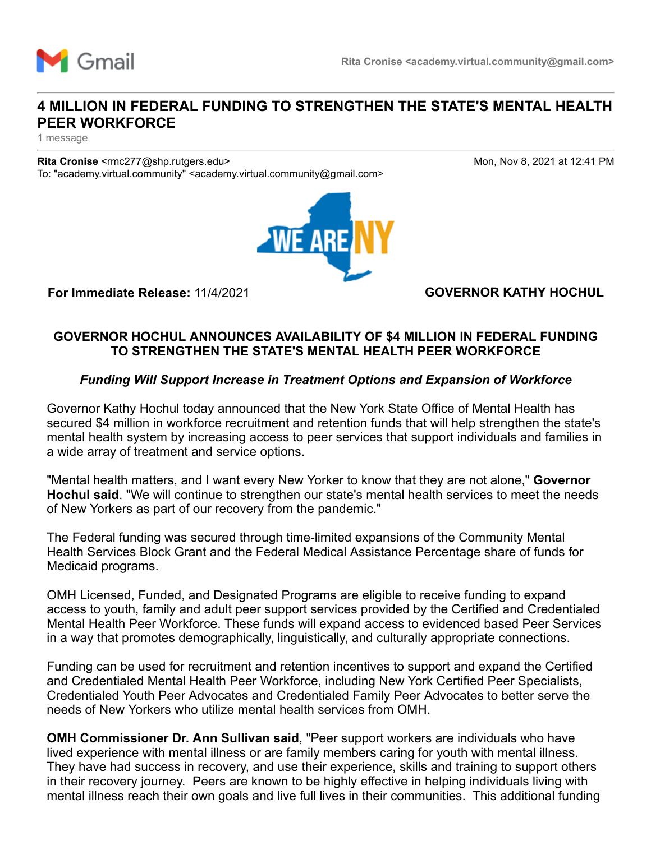

# **4 MILLION IN FEDERAL FUNDING TO STRENGTHEN THE STATE'S MENTAL HEALTH PEER WORKFORCE**

1 message

**Rita Cronise** <rmc277@shp.rutgers.edu> Mon, Nov 8, 2021 at 12:41 PM To: "academy.virtual.community" <academy.virtual.community@gmail.com>



**For Immediate Release:** 11/4/2021 **GOVERNOR KATHY HOCHUL**

## **GOVERNOR HOCHUL ANNOUNCES AVAILABILITY OF \$4 MILLION IN FEDERAL FUNDING TO STRENGTHEN THE STATE'S MENTAL HEALTH PEER WORKFORCE**

### *Funding Will Support Increase in Treatment Options and Expansion of Workforce*

Governor Kathy Hochul today announced that the New York State Office of Mental Health has secured \$4 million in workforce recruitment and retention funds that will help strengthen the state's mental health system by increasing access to peer services that support individuals and families in a wide array of treatment and service options.

"Mental health matters, and I want every New Yorker to know that they are not alone," **Governor Hochul said**. "We will continue to strengthen our state's mental health services to meet the needs of New Yorkers as part of our recovery from the pandemic."

The Federal funding was secured through time-limited expansions of the Community Mental Health Services Block Grant and the Federal Medical Assistance Percentage share of funds for Medicaid programs.

OMH Licensed, Funded, and Designated Programs are eligible to receive funding to expand access to youth, family and adult peer support services provided by the Certified and Credentialed Mental Health Peer Workforce. These funds will expand access to evidenced based Peer Services in a way that promotes demographically, linguistically, and culturally appropriate connections.

Funding can be used for recruitment and retention incentives to support and expand the Certified and Credentialed Mental Health Peer Workforce, including New York Certified Peer Specialists, Credentialed Youth Peer Advocates and Credentialed Family Peer Advocates to better serve the needs of New Yorkers who utilize mental health services from OMH.

**OMH Commissioner Dr. Ann Sullivan said**, "Peer support workers are individuals who have lived experience with mental illness or are family members caring for youth with mental illness. They have had success in recovery, and use their experience, skills and training to support others in their recovery journey. Peers are known to be highly effective in helping individuals living with mental illness reach their own goals and live full lives in their communities. This additional funding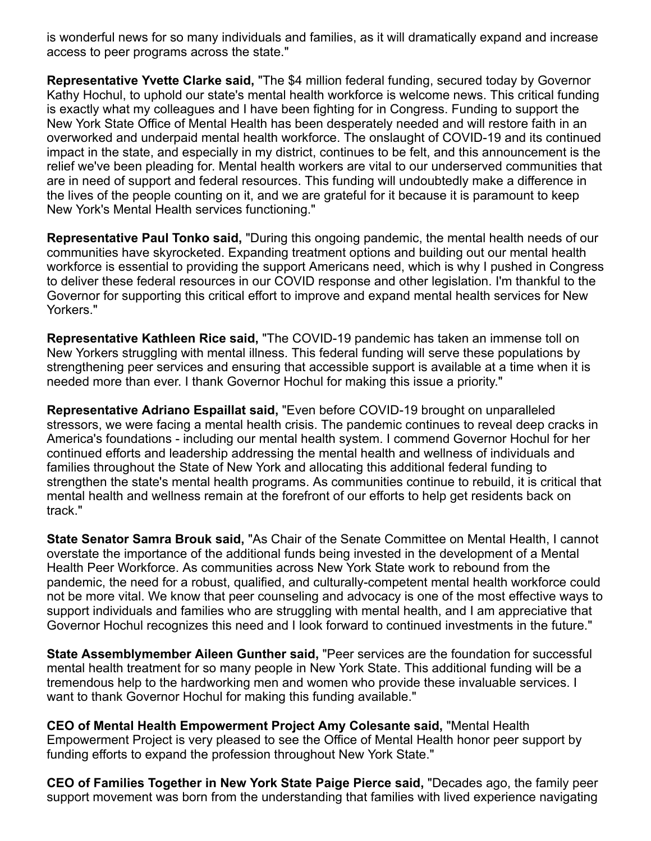is wonderful news for so many individuals and families, as it will dramatically expand and increase access to peer programs across the state."

**Representative Yvette Clarke said,** "The \$4 million federal funding, secured today by Governor Kathy Hochul, to uphold our state's mental health workforce is welcome news. This critical funding is exactly what my colleagues and I have been fighting for in Congress. Funding to support the New York State Office of Mental Health has been desperately needed and will restore faith in an overworked and underpaid mental health workforce. The onslaught of COVID-19 and its continued impact in the state, and especially in my district, continues to be felt, and this announcement is the relief we've been pleading for. Mental health workers are vital to our underserved communities that are in need of support and federal resources. This funding will undoubtedly make a difference in the lives of the people counting on it, and we are grateful for it because it is paramount to keep New York's Mental Health services functioning."

**Representative Paul Tonko said,** "During this ongoing pandemic, the mental health needs of our communities have skyrocketed. Expanding treatment options and building out our mental health workforce is essential to providing the support Americans need, which is why I pushed in Congress to deliver these federal resources in our COVID response and other legislation. I'm thankful to the Governor for supporting this critical effort to improve and expand mental health services for New Yorkers."

**Representative Kathleen Rice said,** "The COVID-19 pandemic has taken an immense toll on New Yorkers struggling with mental illness. This federal funding will serve these populations by strengthening peer services and ensuring that accessible support is available at a time when it is needed more than ever. I thank Governor Hochul for making this issue a priority."

**Representative Adriano Espaillat said,** "Even before COVID-19 brought on unparalleled stressors, we were facing a mental health crisis. The pandemic continues to reveal deep cracks in America's foundations - including our mental health system. I commend Governor Hochul for her continued efforts and leadership addressing the mental health and wellness of individuals and families throughout the State of New York and allocating this additional federal funding to strengthen the state's mental health programs. As communities continue to rebuild, it is critical that mental health and wellness remain at the forefront of our efforts to help get residents back on track."

**State Senator Samra Brouk said,** "As Chair of the Senate Committee on Mental Health, I cannot overstate the importance of the additional funds being invested in the development of a Mental Health Peer Workforce. As communities across New York State work to rebound from the pandemic, the need for a robust, qualified, and culturally-competent mental health workforce could not be more vital. We know that peer counseling and advocacy is one of the most effective ways to support individuals and families who are struggling with mental health, and I am appreciative that Governor Hochul recognizes this need and I look forward to continued investments in the future."

**State Assemblymember Aileen Gunther said,** "Peer services are the foundation for successful mental health treatment for so many people in New York State. This additional funding will be a tremendous help to the hardworking men and women who provide these invaluable services. I want to thank Governor Hochul for making this funding available."

**CEO of Mental Health Empowerment Project Amy Colesante said,** "Mental Health Empowerment Project is very pleased to see the Office of Mental Health honor peer support by funding efforts to expand the profession throughout New York State."

**CEO of Families Together in New York State Paige Pierce said,** "Decades ago, the family peer support movement was born from the understanding that families with lived experience navigating